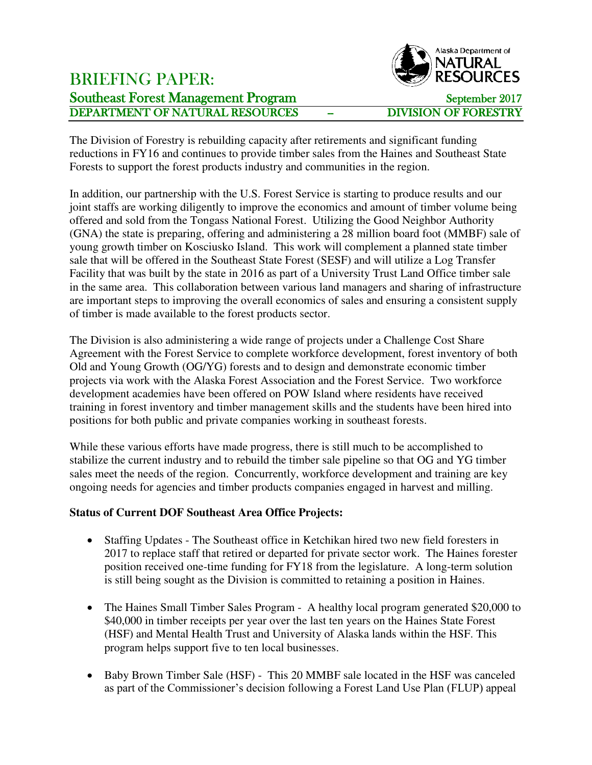## BRIEFING PAPER: Southeast Forest Management Program<br>
DEPARTMENT OF NATURAL RESOURCES - DIVISION OF FORESTRY DEPARTMENT OF NATURAL RESOURCES



The Division of Forestry is rebuilding capacity after retirements and significant funding reductions in FY16 and continues to provide timber sales from the Haines and Southeast State Forests to support the forest products industry and communities in the region.

In addition, our partnership with the U.S. Forest Service is starting to produce results and our joint staffs are working diligently to improve the economics and amount of timber volume being offered and sold from the Tongass National Forest. Utilizing the Good Neighbor Authority (GNA) the state is preparing, offering and administering a 28 million board foot (MMBF) sale of young growth timber on Kosciusko Island. This work will complement a planned state timber sale that will be offered in the Southeast State Forest (SESF) and will utilize a Log Transfer Facility that was built by the state in 2016 as part of a University Trust Land Office timber sale in the same area. This collaboration between various land managers and sharing of infrastructure are important steps to improving the overall economics of sales and ensuring a consistent supply of timber is made available to the forest products sector.

The Division is also administering a wide range of projects under a Challenge Cost Share Agreement with the Forest Service to complete workforce development, forest inventory of both Old and Young Growth (OG/YG) forests and to design and demonstrate economic timber projects via work with the Alaska Forest Association and the Forest Service. Two workforce development academies have been offered on POW Island where residents have received training in forest inventory and timber management skills and the students have been hired into positions for both public and private companies working in southeast forests.

While these various efforts have made progress, there is still much to be accomplished to stabilize the current industry and to rebuild the timber sale pipeline so that OG and YG timber sales meet the needs of the region. Concurrently, workforce development and training are key ongoing needs for agencies and timber products companies engaged in harvest and milling.

## **Status of Current DOF Southeast Area Office Projects:**

- Staffing Updates The Southeast office in Ketchikan hired two new field foresters in 2017 to replace staff that retired or departed for private sector work. The Haines forester position received one-time funding for FY18 from the legislature. A long-term solution is still being sought as the Division is committed to retaining a position in Haines.
- The Haines Small Timber Sales Program A healthy local program generated \$20,000 to \$40,000 in timber receipts per year over the last ten years on the Haines State Forest (HSF) and Mental Health Trust and University of Alaska lands within the HSF. This program helps support five to ten local businesses.
- Baby Brown Timber Sale (HSF) This 20 MMBF sale located in the HSF was canceled as part of the Commissioner's decision following a Forest Land Use Plan (FLUP) appeal